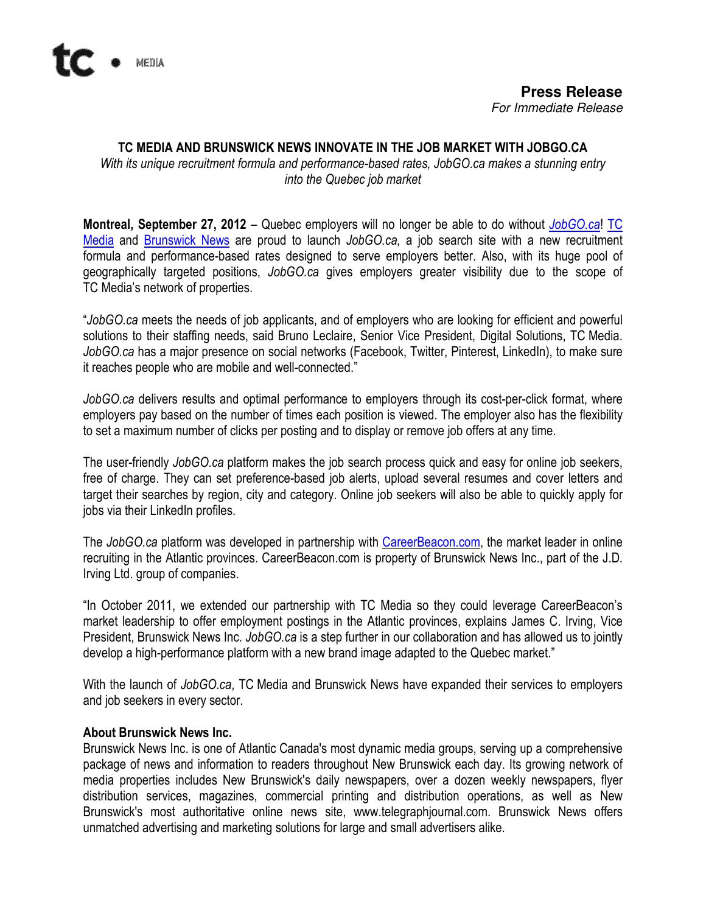

## TC MEDIA AND BRUNSWICK NEWS INNOVATE IN THE JOB MARKET WITH JOBGO.CA

With its unique recruitment formula and performance-based rates, JobGO.ca makes a stunning entry into the Quebec job market

Montreal, September 27, 2012 – Quebec employers will no longer be able to do without JobGO.ca! TC Media and Brunswick News are proud to launch JobGO.ca, a job search site with a new recruitment formula and performance-based rates designed to serve employers better. Also, with its huge pool of geographically targeted positions, JobGO.ca gives employers greater visibility due to the scope of TC Media's network of properties.

"JobGO.ca meets the needs of job applicants, and of employers who are looking for efficient and powerful solutions to their staffing needs, said Bruno Leclaire, Senior Vice President, Digital Solutions, TC Media. JobGO.ca has a major presence on social networks (Facebook, Twitter, Pinterest, LinkedIn), to make sure it reaches people who are mobile and well-connected."

JobGO.ca delivers results and optimal performance to employers through its cost-per-click format, where employers pay based on the number of times each position is viewed. The employer also has the flexibility to set a maximum number of clicks per posting and to display or remove job offers at any time.

The user-friendly JobGO.ca platform makes the job search process quick and easy for online job seekers, free of charge. They can set preference-based job alerts, upload several resumes and cover letters and target their searches by region, city and category. Online job seekers will also be able to quickly apply for jobs via their LinkedIn profiles.

The JobGO.ca platform was developed in partnership with CareerBeacon.com, the market leader in online recruiting in the Atlantic provinces. CareerBeacon.com is property of Brunswick News Inc., part of the J.D. Irving Ltd. group of companies.

"In October 2011, we extended our partnership with TC Media so they could leverage CareerBeacon's market leadership to offer employment postings in the Atlantic provinces, explains James C. Irving, Vice President, Brunswick News Inc. JobGO.ca is a step further in our collaboration and has allowed us to jointly develop a high-performance platform with a new brand image adapted to the Quebec market."

With the launch of JobGO.ca, TC Media and Brunswick News have expanded their services to employers and job seekers in every sector.

## About Brunswick News Inc.

Brunswick News Inc. is one of Atlantic Canada's most dynamic media groups, serving up a comprehensive package of news and information to readers throughout New Brunswick each day. Its growing network of media properties includes New Brunswick's daily newspapers, over a dozen weekly newspapers, flyer distribution services, magazines, commercial printing and distribution operations, as well as New Brunswick's most authoritative online news site, www.telegraphjournal.com. Brunswick News offers unmatched advertising and marketing solutions for large and small advertisers alike.